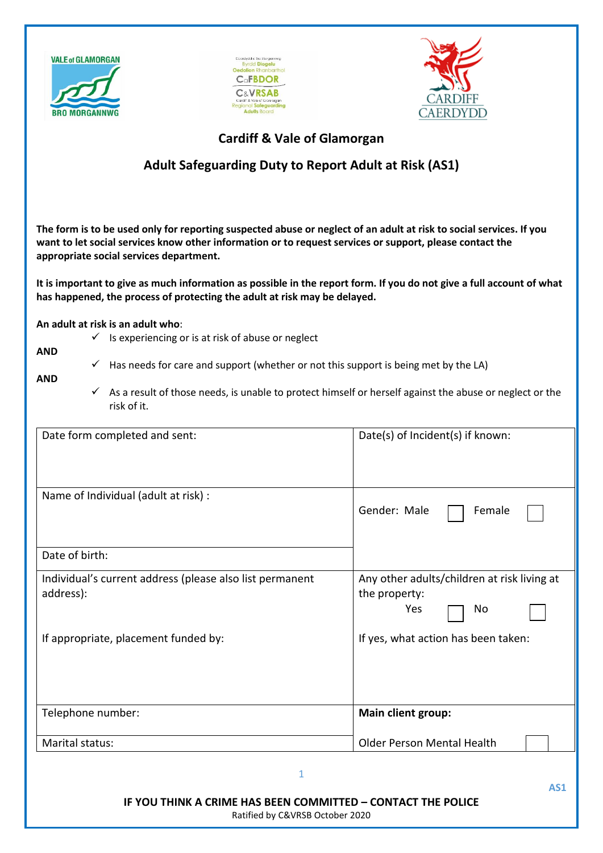





**Cardiff & Vale of Glamorgan** 

## **Adult Safeguarding Duty to Report Adult at Risk (AS1)**

**The form is to be used only for reporting suspected abuse or neglect of an adult at risk to social services. If you want to let social services know other information or to request services or support, please contact the appropriate social services department.** 

**It is important to give as much information as possible in the report form. If you do not give a full account of what has happened, the process of protecting the adult at risk may be delayed.**

**An adult at risk is an adult who**:

 $\checkmark$  Is experiencing or is at risk of abuse or neglect

**AND**

 $\checkmark$  Has needs for care and support (whether or not this support is being met by the LA)

**AND**

 $\checkmark$  As a result of those needs, is unable to protect himself or herself against the abuse or neglect or the risk of it.

| Date form completed and sent:                                         | Date(s) of Incident(s) if known:                                          |
|-----------------------------------------------------------------------|---------------------------------------------------------------------------|
| Name of Individual (adult at risk) :                                  | Gender: Male<br>Female                                                    |
| Date of birth:                                                        |                                                                           |
| Individual's current address (please also list permanent<br>address): | Any other adults/children at risk living at<br>the property:<br>Yes<br>No |
| If appropriate, placement funded by:                                  | If yes, what action has been taken:                                       |
| Telephone number:                                                     | Main client group:                                                        |
| Marital status:                                                       | Older Person Mental Health                                                |
| 1                                                                     | AS1                                                                       |

**IF YOU THINK A CRIME HAS BEEN COMMITTED – CONTACT THE POLICE** Ratified by C&VRSB October 2020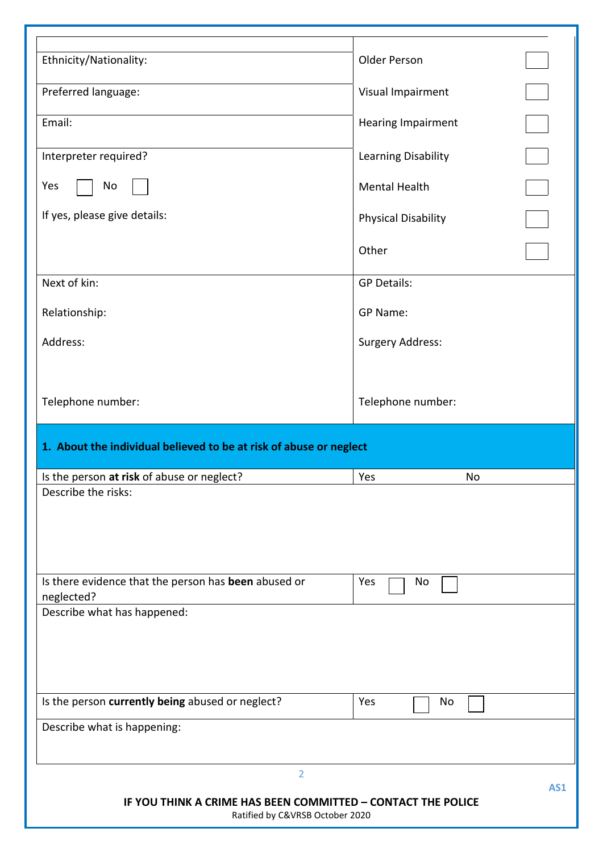| Ethnicity/Nationality:                                             | Older Person               |            |
|--------------------------------------------------------------------|----------------------------|------------|
| Preferred language:                                                | Visual Impairment          |            |
| Email:                                                             | <b>Hearing Impairment</b>  |            |
| Interpreter required?                                              | Learning Disability        |            |
| Yes<br>No                                                          | <b>Mental Health</b>       |            |
| If yes, please give details:                                       | <b>Physical Disability</b> |            |
|                                                                    | Other                      |            |
| Next of kin:                                                       | <b>GP Details:</b>         |            |
| Relationship:                                                      | GP Name:                   |            |
| Address:                                                           | Surgery Address:           |            |
|                                                                    |                            |            |
| Telephone number:                                                  | Telephone number:          |            |
| 1. About the individual believed to be at risk of abuse or neglect |                            |            |
| Is the person at risk of abuse or neglect?                         | Yes<br>No                  |            |
| Describe the risks:                                                |                            |            |
| Is there evidence that the person has been abused or<br>neglected? | Yes<br>No                  |            |
| Describe what has happened:                                        |                            |            |
|                                                                    |                            |            |
| Is the person currently being abused or neglect?                   | Yes<br>No                  |            |
| Describe what is happening:                                        |                            |            |
| $\overline{2}$                                                     |                            |            |
| IF YOU THINK A CRIME HAS BEEN COMMITTED - CONTACT THE POLICE       |                            | <b>AS1</b> |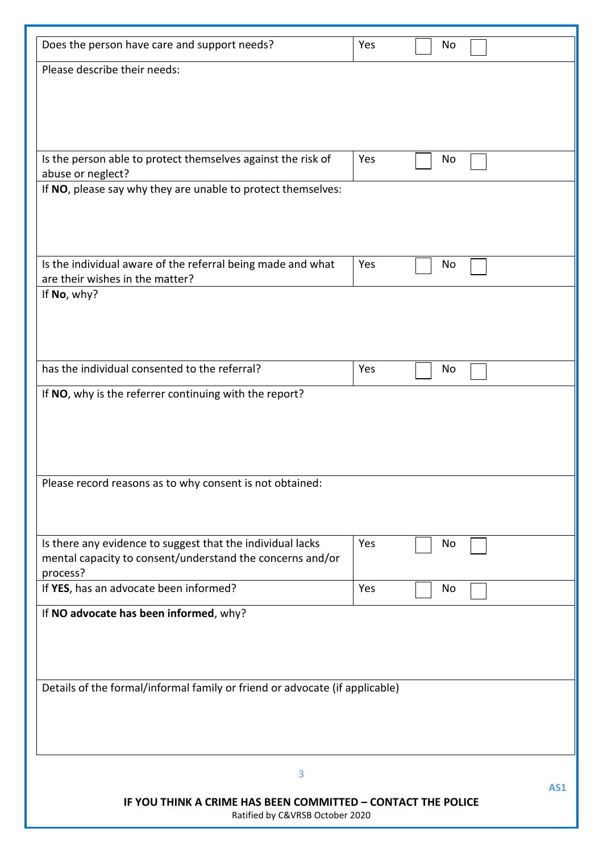| Does the person have care and support needs?                                                    | Yes | No |  |            |
|-------------------------------------------------------------------------------------------------|-----|----|--|------------|
| Please describe their needs:                                                                    |     |    |  |            |
|                                                                                                 |     |    |  |            |
|                                                                                                 |     |    |  |            |
|                                                                                                 |     |    |  |            |
| Is the person able to protect themselves against the risk of                                    | Yes | No |  |            |
| abuse or neglect?                                                                               |     |    |  |            |
| If NO, please say why they are unable to protect themselves:                                    |     |    |  |            |
|                                                                                                 |     |    |  |            |
|                                                                                                 |     |    |  |            |
| Is the individual aware of the referral being made and what                                     | Yes |    |  |            |
| are their wishes in the matter?                                                                 |     | No |  |            |
| If No, why?                                                                                     |     |    |  |            |
|                                                                                                 |     |    |  |            |
|                                                                                                 |     |    |  |            |
|                                                                                                 |     |    |  |            |
| has the individual consented to the referral?                                                   | Yes | No |  |            |
| If NO, why is the referrer continuing with the report?                                          |     |    |  |            |
|                                                                                                 |     |    |  |            |
|                                                                                                 |     |    |  |            |
|                                                                                                 |     |    |  |            |
| Please record reasons as to why consent is not obtained:                                        |     |    |  |            |
|                                                                                                 |     |    |  |            |
|                                                                                                 |     |    |  |            |
| Is there any evidence to suggest that the individual lacks                                      | Yes | No |  |            |
| mental capacity to consent/understand the concerns and/or                                       |     |    |  |            |
| process?<br>If YES, has an advocate been informed?                                              | Yes | No |  |            |
|                                                                                                 |     |    |  |            |
| If NO advocate has been informed, why?                                                          |     |    |  |            |
|                                                                                                 |     |    |  |            |
|                                                                                                 |     |    |  |            |
| Details of the formal/informal family or friend or advocate (if applicable)                     |     |    |  |            |
|                                                                                                 |     |    |  |            |
|                                                                                                 |     |    |  |            |
|                                                                                                 |     |    |  |            |
| 3                                                                                               |     |    |  |            |
|                                                                                                 |     |    |  | <b>AS1</b> |
| IF YOU THINK A CRIME HAS BEEN COMMITTED - CONTACT THE POLICE<br>Ratified by C&VRSB October 2020 |     |    |  |            |

Ratified by C&VRSB October 2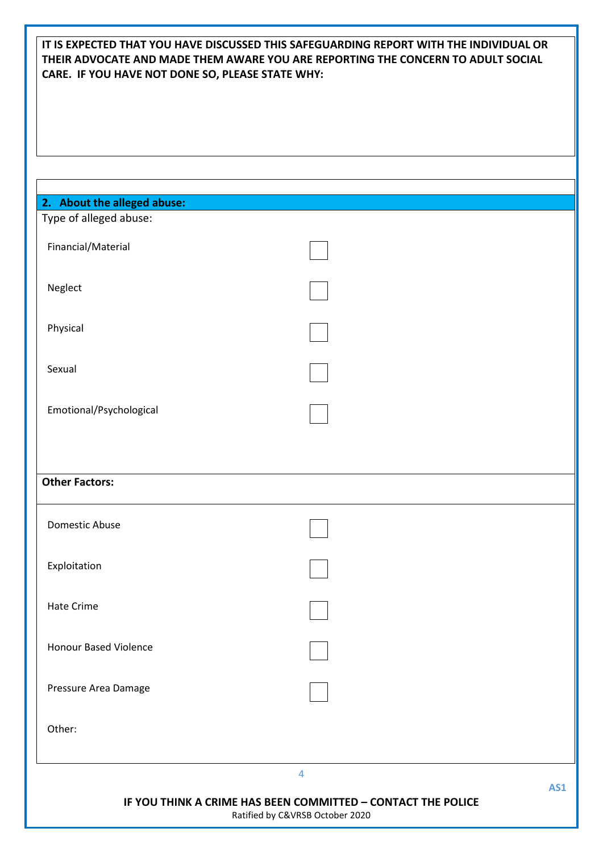| IT IS EXPECTED THAT YOU HAVE DISCUSSED THIS SAFEGUARDING REPORT WITH THE INDIVIDUAL OR |  |
|----------------------------------------------------------------------------------------|--|
| THEIR ADVOCATE AND MADE THEM AWARE YOU ARE REPORTING THE CONCERN TO ADULT SOCIAL       |  |
| CARE. IF YOU HAVE NOT DONE SO, PLEASE STATE WHY:                                       |  |
|                                                                                        |  |
|                                                                                        |  |
|                                                                                        |  |
|                                                                                        |  |
|                                                                                        |  |
|                                                                                        |  |
|                                                                                        |  |
|                                                                                        |  |

| 2. About the alleged abuse:  |                                                              |            |
|------------------------------|--------------------------------------------------------------|------------|
| Type of alleged abuse:       |                                                              |            |
| Financial/Material           |                                                              |            |
| Neglect                      |                                                              |            |
| Physical                     |                                                              |            |
| Sexual                       |                                                              |            |
| Emotional/Psychological      |                                                              |            |
|                              |                                                              |            |
| <b>Other Factors:</b>        |                                                              |            |
| Domestic Abuse               |                                                              |            |
| Exploitation                 |                                                              |            |
| Hate Crime                   |                                                              |            |
| <b>Honour Based Violence</b> |                                                              |            |
| Pressure Area Damage         |                                                              |            |
| Other:                       |                                                              |            |
|                              | $\overline{4}$                                               |            |
|                              | IF YOU THINK A CRIME HAS BEEN COMMITTED - CONTACT THE POLICE | <b>AS1</b> |

Ratified by C&VRSB October 2020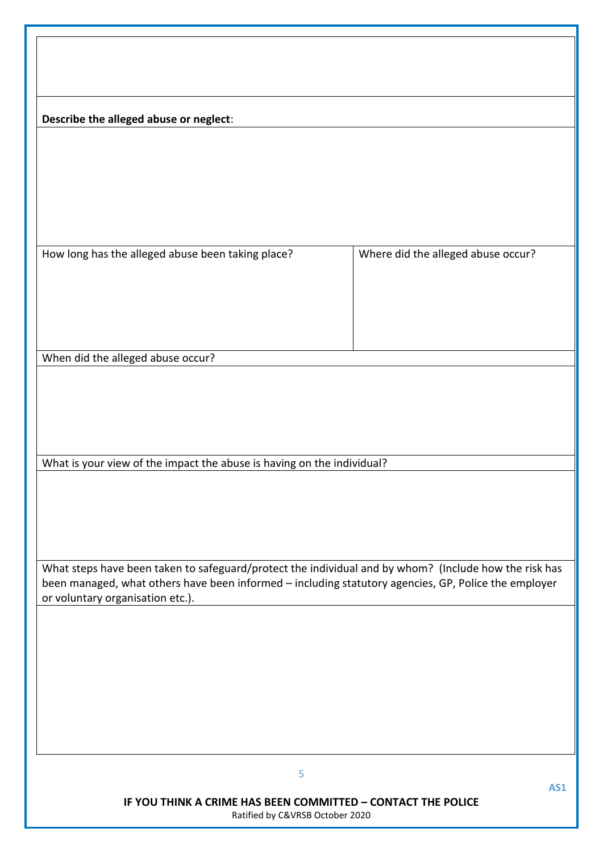| Describe the alleged abuse or neglect:                                                                |                                    |
|-------------------------------------------------------------------------------------------------------|------------------------------------|
|                                                                                                       |                                    |
|                                                                                                       |                                    |
|                                                                                                       |                                    |
|                                                                                                       |                                    |
|                                                                                                       |                                    |
|                                                                                                       |                                    |
| How long has the alleged abuse been taking place?                                                     | Where did the alleged abuse occur? |
|                                                                                                       |                                    |
|                                                                                                       |                                    |
|                                                                                                       |                                    |
|                                                                                                       |                                    |
|                                                                                                       |                                    |
| When did the alleged abuse occur?                                                                     |                                    |
|                                                                                                       |                                    |
|                                                                                                       |                                    |
|                                                                                                       |                                    |
|                                                                                                       |                                    |
| What is your view of the impact the abuse is having on the individual?                                |                                    |
|                                                                                                       |                                    |
|                                                                                                       |                                    |
|                                                                                                       |                                    |
|                                                                                                       |                                    |
|                                                                                                       |                                    |
| What steps have been taken to safeguard/protect the individual and by whom? (Include how the risk has |                                    |
| been managed, what others have been informed - including statutory agencies, GP, Police the employer  |                                    |
| or voluntary organisation etc.).                                                                      |                                    |
|                                                                                                       |                                    |
|                                                                                                       |                                    |
|                                                                                                       |                                    |
|                                                                                                       |                                    |
|                                                                                                       |                                    |
|                                                                                                       |                                    |
|                                                                                                       |                                    |
|                                                                                                       |                                    |
| 5                                                                                                     |                                    |
|                                                                                                       | <b>AS1</b>                         |

**IF YOU THINK A CRIME HAS BEEN COMMITTED – CONTACT THE POLICE** Ratified by C&VRSB October 2020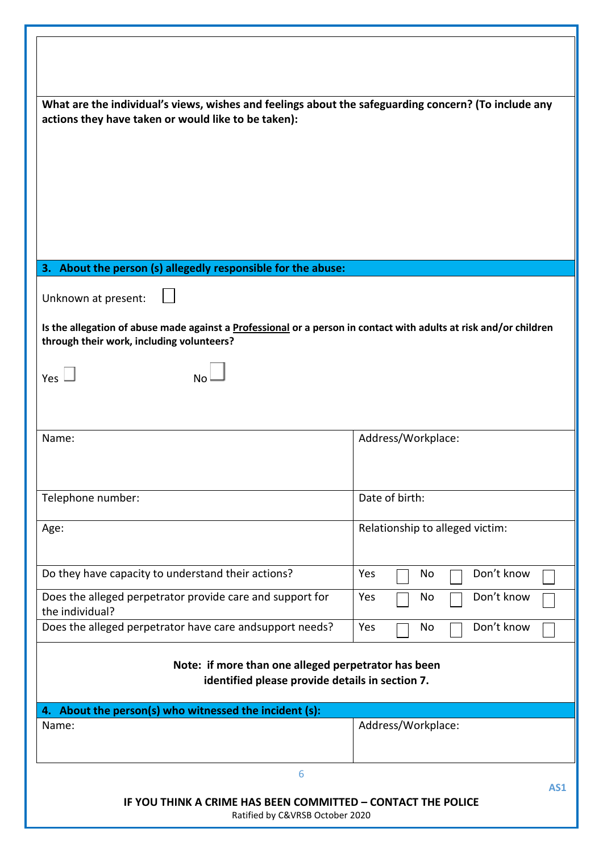| What are the individual's views, wishes and feelings about the safeguarding concern? (To include any<br>actions they have taken or would like to be taken):           |                                 |  |
|-----------------------------------------------------------------------------------------------------------------------------------------------------------------------|---------------------------------|--|
|                                                                                                                                                                       |                                 |  |
|                                                                                                                                                                       |                                 |  |
|                                                                                                                                                                       |                                 |  |
|                                                                                                                                                                       |                                 |  |
| 3. About the person (s) allegedly responsible for the abuse:                                                                                                          |                                 |  |
| Unknown at present:                                                                                                                                                   |                                 |  |
| Is the allegation of abuse made against a <b>Professional</b> or a person in contact with adults at risk and/or children<br>through their work, including volunteers? |                                 |  |
| <b>No</b>                                                                                                                                                             |                                 |  |
|                                                                                                                                                                       |                                 |  |
| Name:                                                                                                                                                                 | Address/Workplace:              |  |
|                                                                                                                                                                       |                                 |  |
| Telephone number:                                                                                                                                                     | Date of birth:                  |  |
| Age:                                                                                                                                                                  | Relationship to alleged victim: |  |
| Do they have capacity to understand their actions?                                                                                                                    | Don't know<br>Yes<br>No         |  |
| Does the alleged perpetrator provide care and support for                                                                                                             | Don't know<br>Yes<br>No         |  |
| the individual?<br>Does the alleged perpetrator have care andsupport needs?                                                                                           | Don't know<br>Yes<br>No         |  |
| Note: if more than one alleged perpetrator has been                                                                                                                   |                                 |  |
| identified please provide details in section 7.                                                                                                                       |                                 |  |
| 4. About the person(s) who witnessed the incident (s):                                                                                                                |                                 |  |
| Name:                                                                                                                                                                 | Address/Workplace:              |  |
| 6                                                                                                                                                                     |                                 |  |
| IF YOU THINK A CRIME HAS BEEN COMMITTED - CONTACT THE POLICE                                                                                                          | <b>AS1</b>                      |  |

Ratified by C&VRSB October 2020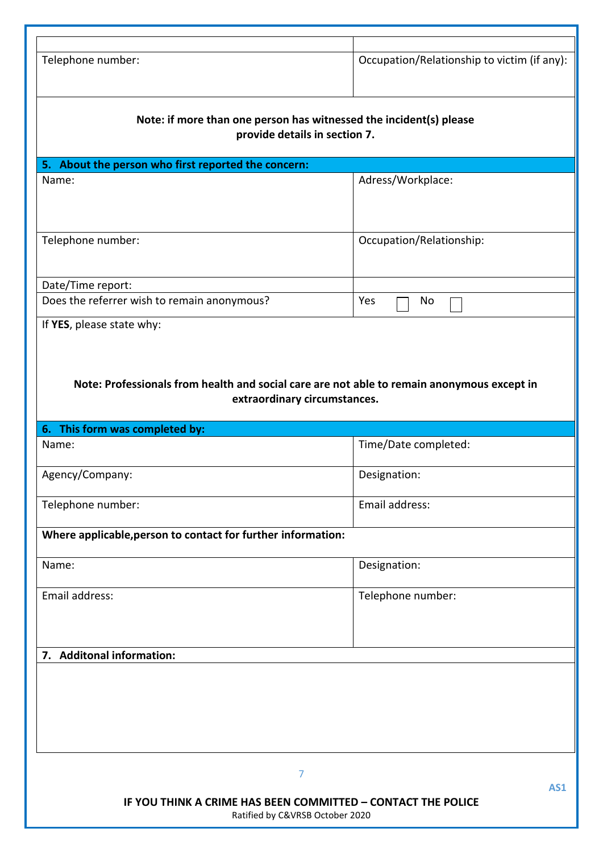| Telephone number:                                                                                                          | Occupation/Relationship to victim (if any): |  |  |
|----------------------------------------------------------------------------------------------------------------------------|---------------------------------------------|--|--|
| Note: if more than one person has witnessed the incident(s) please<br>provide details in section 7.                        |                                             |  |  |
| 5. About the person who first reported the concern:                                                                        |                                             |  |  |
| Name:                                                                                                                      | Adress/Workplace:                           |  |  |
| Telephone number:                                                                                                          | Occupation/Relationship:                    |  |  |
| Date/Time report:                                                                                                          |                                             |  |  |
| Does the referrer wish to remain anonymous?                                                                                | Yes<br>No.                                  |  |  |
| If YES, please state why:                                                                                                  |                                             |  |  |
| Note: Professionals from health and social care are not able to remain anonymous except in<br>extraordinary circumstances. |                                             |  |  |
| 6. This form was completed by:                                                                                             |                                             |  |  |
| Name:                                                                                                                      | Time/Date completed:                        |  |  |
| Agency/Company:                                                                                                            | Designation:                                |  |  |
| Telephone number:                                                                                                          | Email address:                              |  |  |
| Where applicable, person to contact for further information:                                                               |                                             |  |  |
| Name:                                                                                                                      | Designation:                                |  |  |
| Email address:                                                                                                             | Telephone number:                           |  |  |
|                                                                                                                            |                                             |  |  |
| 7. Additonal information:                                                                                                  |                                             |  |  |
|                                                                                                                            |                                             |  |  |
|                                                                                                                            |                                             |  |  |
|                                                                                                                            |                                             |  |  |
| 7                                                                                                                          | <b>AS1</b>                                  |  |  |

Ratified by C&VRSB October 2020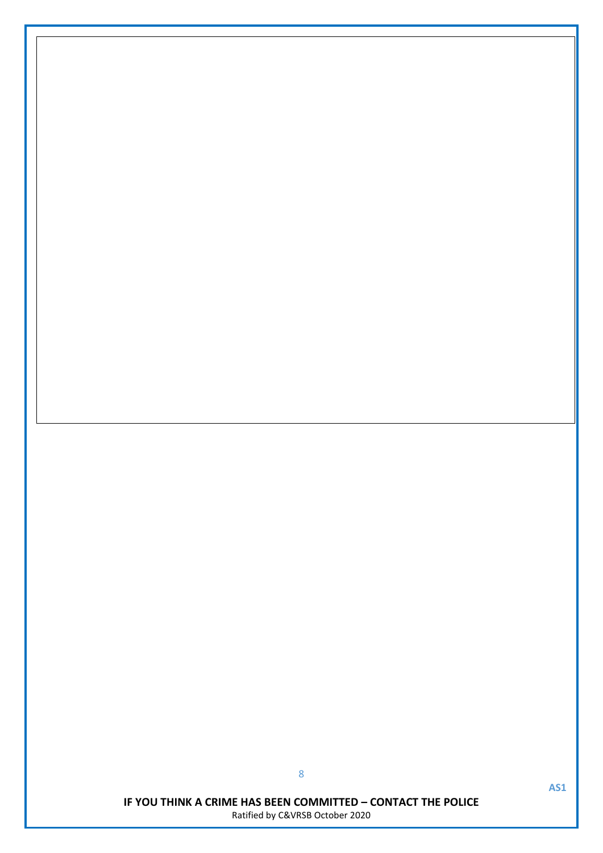**IF YOU THINK A CRIME HAS BEEN COMMITTED – CONTACT THE POLICE** Ratified by C&VRSB October 2020

**AS1**